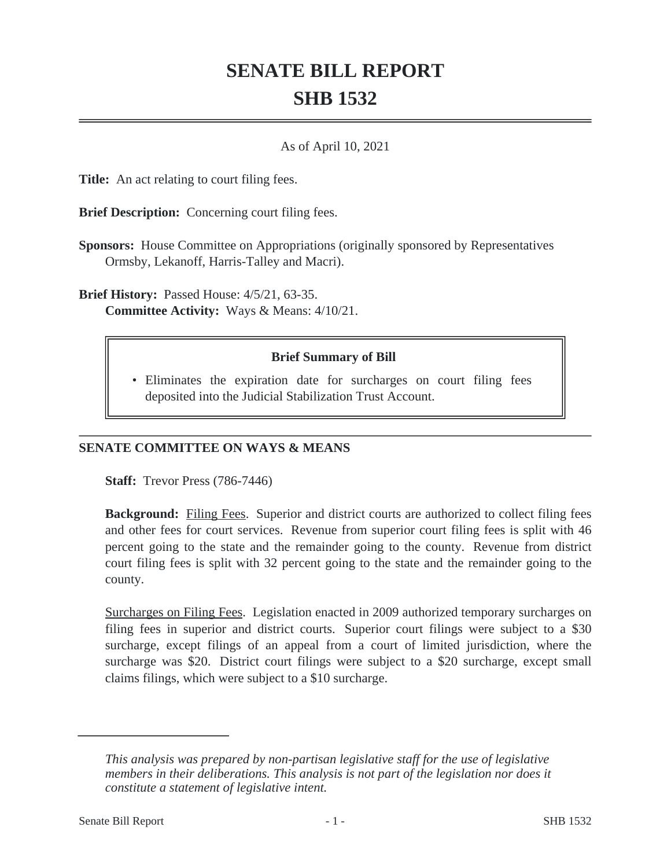# **SENATE BILL REPORT SHB 1532**

#### As of April 10, 2021

**Title:** An act relating to court filing fees.

**Brief Description:** Concerning court filing fees.

**Sponsors:** House Committee on Appropriations (originally sponsored by Representatives Ormsby, Lekanoff, Harris-Talley and Macri).

**Brief History:** Passed House: 4/5/21, 63-35. **Committee Activity:** Ways & Means: 4/10/21.

## **Brief Summary of Bill**

Eliminates the expiration date for surcharges on court filing fees • deposited into the Judicial Stabilization Trust Account.

## **SENATE COMMITTEE ON WAYS & MEANS**

**Staff:** Trevor Press (786-7446)

**Background:** Filing Fees. Superior and district courts are authorized to collect filing fees and other fees for court services. Revenue from superior court filing fees is split with 46 percent going to the state and the remainder going to the county. Revenue from district court filing fees is split with 32 percent going to the state and the remainder going to the county.

Surcharges on Filing Fees. Legislation enacted in 2009 authorized temporary surcharges on filing fees in superior and district courts. Superior court filings were subject to a \$30 surcharge, except filings of an appeal from a court of limited jurisdiction, where the surcharge was \$20. District court filings were subject to a \$20 surcharge, except small claims filings, which were subject to a \$10 surcharge.

*This analysis was prepared by non-partisan legislative staff for the use of legislative members in their deliberations. This analysis is not part of the legislation nor does it constitute a statement of legislative intent.*